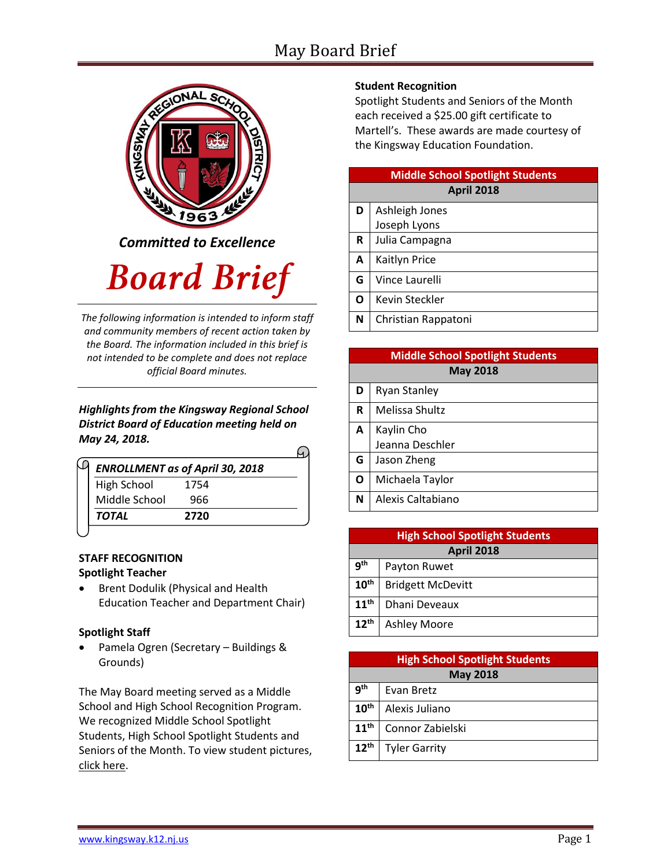## May Board Brief



*Committed to Excellence*

# **Board Brief**

*The following information is intended to inform staff and community members of recent action taken by the Board. The information included in this brief is not intended to be complete and does not replace official Board minutes.*

#### *Highlights from the Kingsway Regional School District Board of Education meeting held on May 24, 2018.*

| <b>ENROLLMENT as of April 30, 2018</b> |      |  |  |
|----------------------------------------|------|--|--|
| High School                            | 1754 |  |  |
| Middle School                          | 966  |  |  |
| TOTAL                                  | 2720 |  |  |

#### **STAFF RECOGNITION Spotlight Teacher**

• Brent Dodulik (Physical and Health Education Teacher and Department Chair)

#### **Spotlight Staff**

 Pamela Ogren (Secretary – Buildings & Grounds)

The May Board meeting served as a Middle School and High School Recognition Program. We recognized Middle School Spotlight Students, High School Spotlight Students and Seniors of the Month. To view student picture[s,](http://www.krsd.org/Page/1303) [click here.](http://www.krsd.org/Page/1303)

#### **Student Recognition**

Spotlight Students and Seniors of the Month each received a \$25.00 gift certificate to Martell's. These awards are made courtesy of the Kingsway Education Foundation.

| <b>Middle School Spotlight Students</b> |                     |  |
|-----------------------------------------|---------------------|--|
| <b>April 2018</b>                       |                     |  |
| D                                       | Ashleigh Jones      |  |
|                                         | Joseph Lyons        |  |
| R                                       | Julia Campagna      |  |
| A                                       | Kaitlyn Price       |  |
| G                                       | Vince Laurelli      |  |
| O                                       | Kevin Steckler      |  |
| N                                       | Christian Rappatoni |  |

| <b>Middle School Spotlight Students</b> |                     |  |
|-----------------------------------------|---------------------|--|
| <b>May 2018</b>                         |                     |  |
| D                                       | <b>Ryan Stanley</b> |  |
| $\mathbf R$                             | Melissa Shultz      |  |
| A                                       | Kaylin Cho          |  |
|                                         | Jeanna Deschler     |  |
| G                                       | Jason Zheng         |  |
| $\mathbf{o}$                            | Michaela Taylor     |  |
| N                                       | Alexis Caltabiano   |  |

| <b>High School Spotlight Students</b> |                          |  |
|---------------------------------------|--------------------------|--|
| <b>April 2018</b>                     |                          |  |
| <b>gth</b>                            | Payton Ruwet             |  |
| $10^{\text{th}}$                      | <b>Bridgett McDevitt</b> |  |
| 11 <sup>th</sup>                      | Dhani Deveaux            |  |
| $12^{\text{th}}$                      | <b>Ashley Moore</b>      |  |

| <b>High School Spotlight Students</b> |                      |  |
|---------------------------------------|----------------------|--|
| <b>May 2018</b>                       |                      |  |
| 9 <sup>th</sup>                       | Evan Bretz           |  |
| 10 <sup>th</sup>                      | Alexis Juliano       |  |
| 11 <sup>th</sup>                      | Connor Zabielski     |  |
| $12^{th}$                             | <b>Tyler Garrity</b> |  |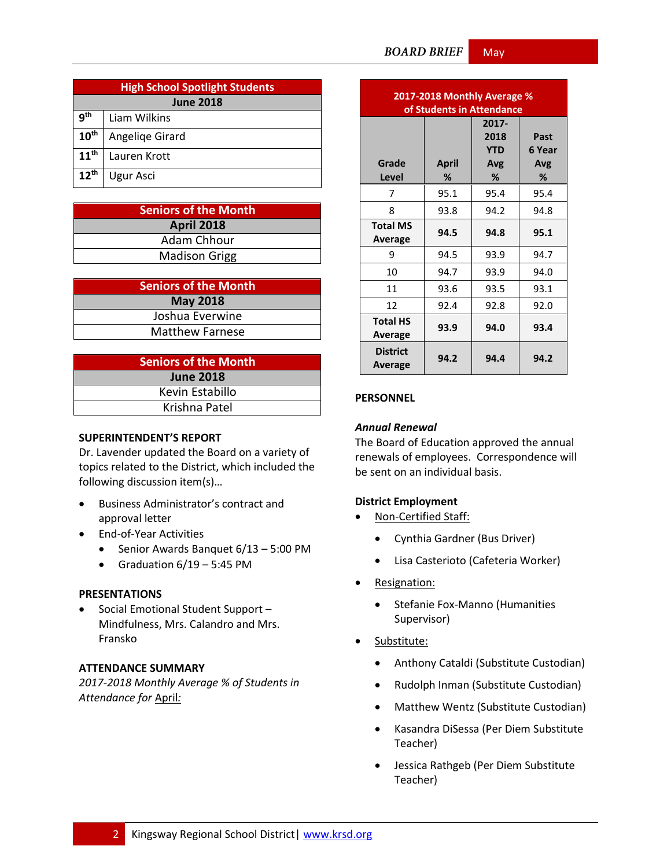| <b>High School Spotlight Students</b> |                 |  |
|---------------------------------------|-----------------|--|
| <b>June 2018</b>                      |                 |  |
| q <sup>th</sup>                       | Liam Wilkins    |  |
| 10 <sup>th</sup>                      | Angeliqe Girard |  |
| 11 <sup>th</sup>                      | Lauren Krott    |  |
| 12 <sup>th</sup>                      | Ugur Asci       |  |

| <b>Seniors of the Month</b> |  |  |
|-----------------------------|--|--|
| <b>April 2018</b>           |  |  |
| Adam Chhour                 |  |  |
| <b>Madison Grigg</b>        |  |  |

| <b>Seniors of the Month</b> |  |  |  |
|-----------------------------|--|--|--|
| <b>May 2018</b>             |  |  |  |
| Joshua Everwine             |  |  |  |
| <b>Matthew Farnese</b>      |  |  |  |

| <b>Seniors of the Month</b> |  |  |  |
|-----------------------------|--|--|--|
| <b>June 2018</b>            |  |  |  |
| Kevin Estabillo             |  |  |  |
| Krishna Patel               |  |  |  |

#### **SUPERINTENDENT'S REPORT**

Dr. Lavender updated the Board on a variety of topics related to the District, which included the following discussion item(s)…

- Business Administrator's contract and approval letter
- End-of-Year Activities
	- $\bullet$  Senior Awards Banquet 6/13 5:00 PM
	- Graduation  $6/19 5:45$  PM

#### **PRESENTATIONS**

• Social Emotional Student Support -Mindfulness, Mrs. Calandro and Mrs. Fransko

#### **ATTENDANCE SUMMARY**

*2017-2018 Monthly Average % of Students in Attendance for* April*:*

| 2017-2018 Monthly Average %<br>of Students in Attendance |                   |                                         |                            |
|----------------------------------------------------------|-------------------|-----------------------------------------|----------------------------|
| Grade<br>Level                                           | <b>April</b><br>℅ | 2017-<br>2018<br><b>YTD</b><br>Avg<br>% | Past<br>6 Year<br>Avg<br>℅ |
| 7                                                        | 95.1              | 95.4                                    | 95.4                       |
| 8                                                        | 93.8              | 94.2                                    | 94.8                       |
| <b>Total MS</b><br>Average                               | 94.5              | 94.8                                    | 95.1                       |
| 9                                                        | 94.5              | 93.9                                    | 94.7                       |
| 10                                                       | 94.7              | 93.9                                    | 94.0                       |
| 11                                                       | 93.6              | 93.5                                    | 93.1                       |
| 12                                                       | 92.4              | 92.8                                    | 92.0                       |
| <b>Total HS</b><br>Average                               | 93.9              | 94.0                                    | 93.4                       |
| <b>District</b><br>Average                               | 94.2              | 94.4                                    | 94.2                       |

### **PERSONNEL**

#### *Annual Renewal*

The Board of Education approved the annual renewals of employees. Correspondence will be sent on an individual basis.

#### **District Employment**

- Non-Certified Staff:
	- Cynthia Gardner (Bus Driver)
	- Lisa Casterioto (Cafeteria Worker)
- Resignation:
	- Stefanie Fox-Manno (Humanities Supervisor)
- Substitute:
	- Anthony Cataldi (Substitute Custodian)
	- Rudolph Inman (Substitute Custodian)
	- Matthew Wentz (Substitute Custodian)
	- Kasandra DiSessa (Per Diem Substitute Teacher)
	- Jessica Rathgeb (Per Diem Substitute Teacher)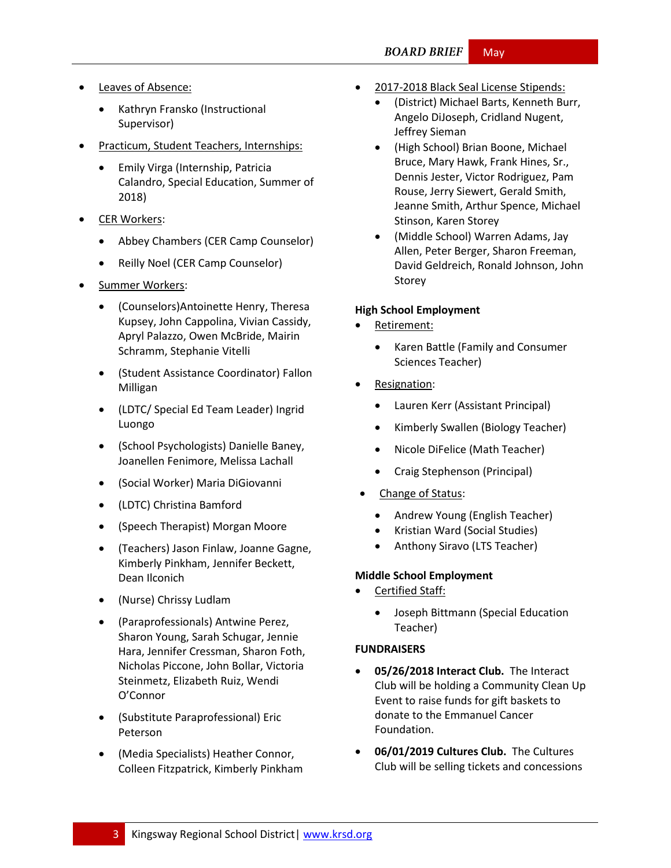#### **BOARD BRIEF** May

- Leaves of Absence:
	- Kathryn Fransko (Instructional Supervisor)
- Practicum, Student Teachers, Internships:
	- Emily Virga (Internship, Patricia Calandro, Special Education, Summer of 2018)
- CER Workers:
	- Abbey Chambers (CER Camp Counselor)
	- Reilly Noel (CER Camp Counselor)
- Summer Workers:
	- (Counselors)Antoinette Henry, Theresa Kupsey, John Cappolina, Vivian Cassidy, Apryl Palazzo, Owen McBride, Mairin Schramm, Stephanie Vitelli
	- (Student Assistance Coordinator) Fallon Milligan
	- (LDTC/ Special Ed Team Leader) Ingrid Luongo
	- (School Psychologists) Danielle Baney, Joanellen Fenimore, Melissa Lachall
	- (Social Worker) Maria DiGiovanni
	- (LDTC) Christina Bamford
	- (Speech Therapist) Morgan Moore
	- (Teachers) Jason Finlaw, Joanne Gagne, Kimberly Pinkham, Jennifer Beckett, Dean Ilconich
	- (Nurse) Chrissy Ludlam
	- (Paraprofessionals) Antwine Perez, Sharon Young, Sarah Schugar, Jennie Hara, Jennifer Cressman, Sharon Foth, Nicholas Piccone, John Bollar, Victoria Steinmetz, Elizabeth Ruiz, Wendi O'Connor
	- (Substitute Paraprofessional) Eric Peterson
	- (Media Specialists) Heather Connor, Colleen Fitzpatrick, Kimberly Pinkham
- 2017-2018 Black Seal License Stipends:
	- (District) Michael Barts, Kenneth Burr, Angelo DiJoseph, Cridland Nugent, Jeffrey Sieman
	- (High School) Brian Boone, Michael Bruce, Mary Hawk, Frank Hines, Sr., Dennis Jester, Victor Rodriguez, Pam Rouse, Jerry Siewert, Gerald Smith, Jeanne Smith, Arthur Spence, Michael Stinson, Karen Storey
	- (Middle School) Warren Adams, Jay Allen, Peter Berger, Sharon Freeman, David Geldreich, Ronald Johnson, John Storey

#### **High School Employment**

- Retirement:
	- Karen Battle (Family and Consumer Sciences Teacher)
- Resignation:
	- Lauren Kerr (Assistant Principal)
	- Kimberly Swallen (Biology Teacher)
	- Nicole DiFelice (Math Teacher)
	- Craig Stephenson (Principal)
- Change of Status:
	- Andrew Young (English Teacher)
	- Kristian Ward (Social Studies)
	- Anthony Siravo (LTS Teacher)

#### **Middle School Employment**

- Certified Staff:
	- Joseph Bittmann (Special Education Teacher)

#### **FUNDRAISERS**

- **05/26/2018 Interact Club.** The Interact Club will be holding a Community Clean Up Event to raise funds for gift baskets to donate to the Emmanuel Cancer Foundation.
- **06/01/2019 Cultures Club.** The Cultures Club will be selling tickets and concessions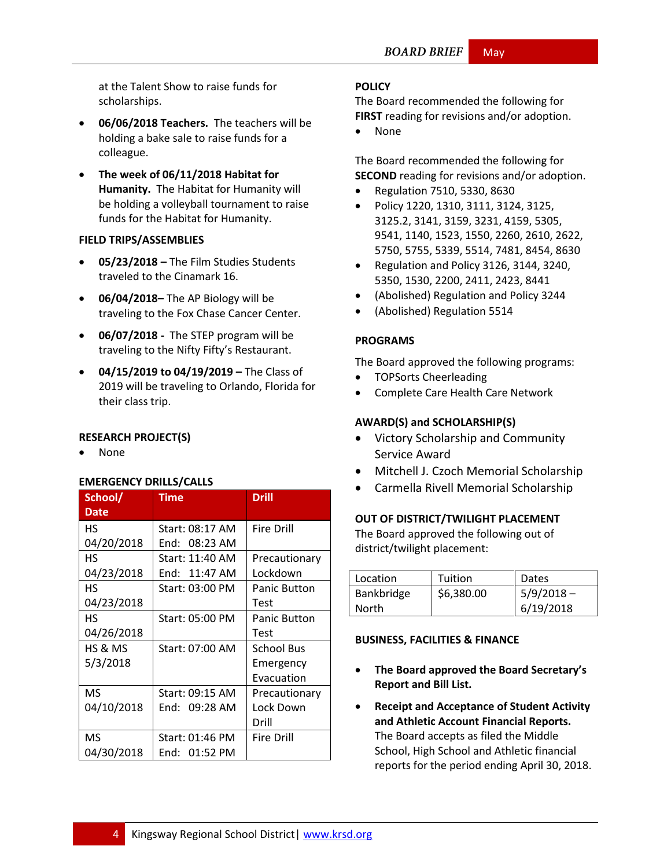at the Talent Show to raise funds for scholarships.

- **06/06/2018 Teachers.** The teachers will be holding a bake sale to raise funds for a colleague.
- **The week of 06/11/2018 Habitat for Humanity.** The Habitat for Humanity will be holding a volleyball tournament to raise funds for the Habitat for Humanity.

#### **FIELD TRIPS/ASSEMBLIES**

- **05/23/2018 –** The Film Studies Students traveled to the Cinamark 16.
- **06/04/2018–** The AP Biology will be traveling to the Fox Chase Cancer Center.
- **06/07/2018 -** The STEP program will be traveling to the Nifty Fifty's Restaurant.
- **04/15/2019 to 04/19/2019 –** The Class of 2019 will be traveling to Orlando, Florida for their class trip.

#### **RESEARCH PROJECT(S)**

None

#### **EMERGENCY DRILLS/CALLS**

| School/<br><b>Date</b> | <b>Time</b>     | <b>Drill</b>        |
|------------------------|-----------------|---------------------|
| НS                     | Start: 08:17 AM | <b>Fire Drill</b>   |
| 04/20/2018             | End: 08:23 AM   |                     |
| HS                     | Start: 11:40 AM | Precautionary       |
| 04/23/2018             | End: 11:47 AM   | Lockdown            |
| НS                     | Start: 03:00 PM | <b>Panic Button</b> |
| 04/23/2018             |                 | Test                |
| HS                     | Start: 05:00 PM | <b>Panic Button</b> |
| 04/26/2018             |                 | Test                |
| HS & MS                | Start: 07:00 AM | <b>School Bus</b>   |
| 5/3/2018               |                 | Emergency           |
|                        |                 | Evacuation          |
| <b>MS</b>              | Start: 09:15 AM | Precautionary       |
| 04/10/2018             | End: 09:28 AM   | Lock Down           |
|                        |                 | Drill               |
| MS                     | Start: 01:46 PM | Fire Drill          |
| 04/30/2018             | End: 01:52 PM   |                     |

#### **[POLICY](http://www.straussesmay.com/seportal/Public/DistrictPolicyTOC.aspx?id=f0cc945ef3894b8d9ad5f87d948ca425&PolicyID=)**

The Board recommended the following for **FIRST** reading for revisions and/or adoption.

• None

The Board recommended the following for **SECOND** reading for revisions and/or adoption.

- Regulation 7510, 5330, 8630
- Policy 1220, 1310, 3111, 3124, 3125, 3125.2, 3141, 3159, 3231, 4159, 5305, 9541, 1140, 1523, 1550, 2260, 2610, 2622, 5750, 5755, 5339, 5514, 7481, 8454, 8630
- Regulation and Policy 3126, 3144, 3240, 5350, 1530, 2200, 2411, 2423, 8441
- (Abolished) Regulation and Policy 3244
- (Abolished) Regulation 5514

#### **PROGRAMS**

The Board approved the following programs:

- TOPSorts Cheerleading
- Complete Care Health Care Network

#### **AWARD(S) and SCHOLARSHIP(S)**

- Victory Scholarship and Community Service Award
- Mitchell J. Czoch Memorial Scholarship
- Carmella Rivell Memorial Scholarship

#### **OUT OF DISTRICT/TWILIGHT PLACEMENT**

The Board approved the following out of district/twilight placement:

| Location   | Tuition    | Dates        |
|------------|------------|--------------|
| Bankbridge | \$6,380.00 | $5/9/2018 -$ |
| North      |            | 6/19/2018    |

#### **BUSINESS, FACILITIES & FINANCE**

- **The Board approved the Board Secretary's Report and Bill List.**
- **Receipt and Acceptance of Student Activity and Athletic Account Financial Reports.** The Board accepts as filed the Middle School, High School and Athletic financial reports for the period ending April 30, 2018.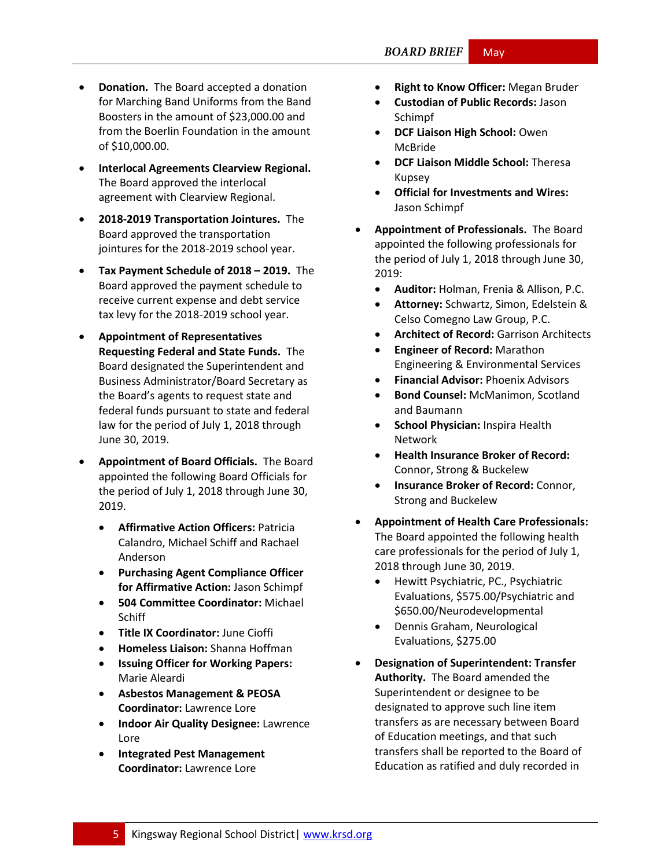- **Donation.** The Board accepted a donation for Marching Band Uniforms from the Band Boosters in the amount of \$23,000.00 and from the Boerlin Foundation in the amount of \$10,000.00.
- **Interlocal Agreements Clearview Regional.**  The Board approved the interlocal agreement with Clearview Regional.
- **2018-2019 Transportation Jointures.** The Board approved the transportation jointures for the 2018-2019 school year.
- **Tax Payment Schedule of 2018 – 2019.** The Board approved the payment schedule to receive current expense and debt service tax levy for the 2018-2019 school year.
- **Appointment of Representatives Requesting Federal and State Funds.** The Board designated the Superintendent and Business Administrator/Board Secretary as the Board's agents to request state and federal funds pursuant to state and federal law for the period of July 1, 2018 through June 30, 2019.
- **Appointment of Board Officials.** The Board appointed the following Board Officials for the period of July 1, 2018 through June 30, 2019.
	- **Affirmative Action Officers:** Patricia Calandro, Michael Schiff and Rachael Anderson
	- **Purchasing Agent Compliance Officer for Affirmative Action:** Jason Schimpf
	- **504 Committee Coordinator:** Michael **Schiff**
	- **Title IX Coordinator:** June Cioffi
	- **Homeless Liaison:** Shanna Hoffman
	- **Issuing Officer for Working Papers:**  Marie Aleardi
	- **Asbestos Management & PEOSA Coordinator:** Lawrence Lore
	- **Indoor Air Quality Designee:** Lawrence Lore
	- **Integrated Pest Management Coordinator:** Lawrence Lore
- **Right to Know Officer:** Megan Bruder
- **Custodian of Public Records:** Jason Schimpf
- **DCF Liaison High School: Owen** McBride
- **DCF Liaison Middle School:** Theresa Kupsey
- **Official for Investments and Wires:**  Jason Schimpf
- **Appointment of Professionals.** The Board appointed the following professionals for the period of July 1, 2018 through June 30, 2019:
	- **Auditor:** Holman, Frenia & Allison, P.C.
	- **Attorney:** Schwartz, Simon, Edelstein & Celso Comegno Law Group, P.C.
	- **Architect of Record:** Garrison Architects
	- **Engineer of Record:** Marathon Engineering & Environmental Services
	- **Financial Advisor:** Phoenix Advisors
	- **Bond Counsel:** McManimon, Scotland and Baumann
	- **School Physician:** Inspira Health Network
	- **Health Insurance Broker of Record:**  Connor, Strong & Buckelew
	- **Insurance Broker of Record:** Connor, Strong and Buckelew
- **Appointment of Health Care Professionals:** The Board appointed the following health care professionals for the period of July 1, 2018 through June 30, 2019.
	- Hewitt Psychiatric, PC., Psychiatric Evaluations, \$575.00/Psychiatric and \$650.00/Neurodevelopmental
	- Dennis Graham, Neurological Evaluations, \$275.00
- **Designation of Superintendent: Transfer Authority.** The Board amended the Superintendent or designee to be designated to approve such line item transfers as are necessary between Board of Education meetings, and that such transfers shall be reported to the Board of Education as ratified and duly recorded in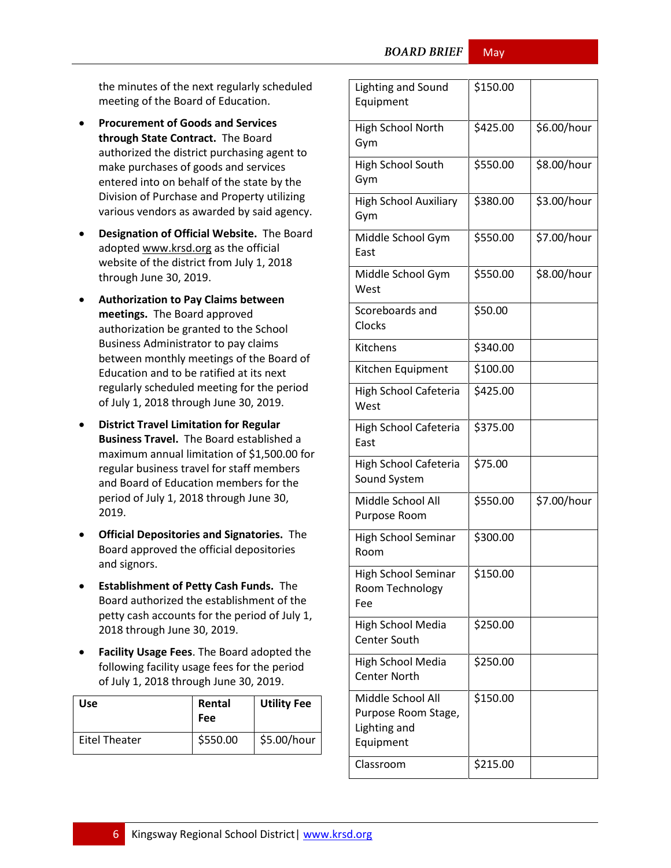**BOARD BRIEF** 

May

the minutes of the next regularly scheduled meeting of the Board of Education.

- **Procurement of Goods and Services through State Contract.** The Board authorized the district purchasing agent to make purchases of goods and services entered into on behalf of the state by the Division of Purchase and Property utilizing various vendors as awarded by said agency.
- **Designation of Official Website.** The Board adopted [www.krsd.org](http://www.krsd.org/) as the official website of the district from July 1, 2018 through June 30, 2019.
- **Authorization to Pay Claims between meetings.** The Board approved authorization be granted to the School Business Administrator to pay claims between monthly meetings of the Board of Education and to be ratified at its next regularly scheduled meeting for the period of July 1, 2018 through June 30, 2019.
- **District Travel Limitation for Regular Business Travel.** The Board established a maximum annual limitation of \$1,500.00 for regular business travel for staff members and Board of Education members for the period of July 1, 2018 through June 30, 2019.
- **Official Depositories and Signatories.** The Board approved the official depositories and signors.
- **Establishment of Petty Cash Funds.** The Board authorized the establishment of the petty cash accounts for the period of July 1, 2018 through June 30, 2019.
- **Facility Usage Fees**. The Board adopted the following facility usage fees for the period of July 1, 2018 through June 30, 2019.

| <b>Use</b>    | Rental<br>Fee | <b>Utility Fee</b> |
|---------------|---------------|--------------------|
| Eitel Theater | \$550.00      | \$5.00/hour        |

| Lighting and Sound<br>Equipment                                       | \$150.00 |             |
|-----------------------------------------------------------------------|----------|-------------|
| High School North<br>Gym                                              | \$425.00 | \$6.00/hour |
| High School South<br>Gym                                              | \$550.00 | \$8.00/hour |
| <b>High School Auxiliary</b><br>Gym                                   | \$380.00 | \$3.00/hour |
| Middle School Gym<br>East                                             | \$550.00 | \$7.00/hour |
| Middle School Gym<br>West                                             | \$550.00 | \$8.00/hour |
| Scoreboards and<br>Clocks                                             | \$50.00  |             |
| Kitchens                                                              | \$340.00 |             |
| Kitchen Equipment                                                     | \$100.00 |             |
| High School Cafeteria<br>West                                         | \$425.00 |             |
| High School Cafeteria<br>East                                         | \$375.00 |             |
| High School Cafeteria<br>Sound System                                 | \$75.00  |             |
| Middle School All<br>Purpose Room                                     | \$550.00 | \$7.00/hour |
| High School Seminar<br>Room                                           | \$300.00 |             |
| <b>High School Seminar</b><br>Room Technology<br>Fee                  | \$150.00 |             |
| <b>High School Media</b><br><b>Center South</b>                       | \$250.00 |             |
| High School Media<br><b>Center North</b>                              | \$250.00 |             |
| Middle School All<br>Purpose Room Stage,<br>Lighting and<br>Equipment | \$150.00 |             |
| Classroom                                                             | \$215.00 |             |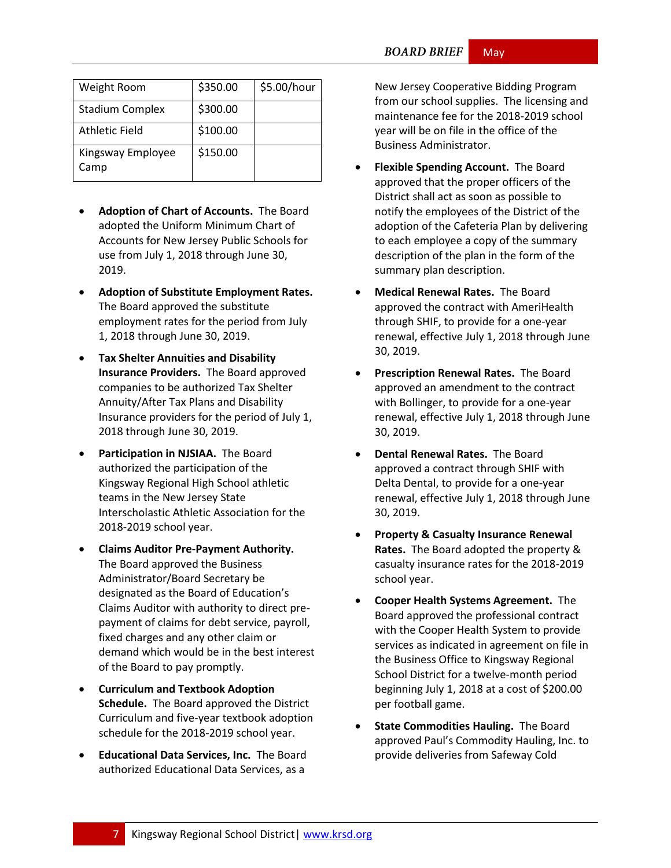| Weight Room               | \$350.00 | \$5.00/hour |
|---------------------------|----------|-------------|
| <b>Stadium Complex</b>    | \$300.00 |             |
| <b>Athletic Field</b>     | \$100.00 |             |
| Kingsway Employee<br>Camp | \$150.00 |             |

- **Adoption of Chart of Accounts.** The Board adopted the Uniform Minimum Chart of Accounts for New Jersey Public Schools for use from July 1, 2018 through June 30, 2019.
- **Adoption of Substitute Employment Rates.** The Board approved the substitute employment rates for the period from July 1, 2018 through June 30, 2019.
- **Tax Shelter Annuities and Disability Insurance Providers.** The Board approved companies to be authorized Tax Shelter Annuity/After Tax Plans and Disability Insurance providers for the period of July 1, 2018 through June 30, 2019.
- **Participation in NJSIAA.** The Board authorized the participation of the Kingsway Regional High School athletic teams in the New Jersey State Interscholastic Athletic Association for the 2018-2019 school year.
- **Claims Auditor Pre-Payment Authority.** The Board approved the Business Administrator/Board Secretary be designated as the Board of Education's Claims Auditor with authority to direct prepayment of claims for debt service, payroll, fixed charges and any other claim or demand which would be in the best interest of the Board to pay promptly.
- **Curriculum and Textbook Adoption Schedule.** The Board approved the District Curriculum and five-year textbook adoption schedule for the 2018-2019 school year.
- **Educational Data Services, Inc.** The Board authorized Educational Data Services, as a

New Jersey Cooperative Bidding Program from our school supplies. The licensing and maintenance fee for the 2018-2019 school year will be on file in the office of the Business Administrator.

- **Flexible Spending Account.** The Board approved that the proper officers of the District shall act as soon as possible to notify the employees of the District of the adoption of the Cafeteria Plan by delivering to each employee a copy of the summary description of the plan in the form of the summary plan description.
- **Medical Renewal Rates.** The Board approved the contract with AmeriHealth through SHIF, to provide for a one-year renewal, effective July 1, 2018 through June 30, 2019.
- **Prescription Renewal Rates.** The Board approved an amendment to the contract with Bollinger, to provide for a one-year renewal, effective July 1, 2018 through June 30, 2019.
- **Dental Renewal Rates.** The Board approved a contract through SHIF with Delta Dental, to provide for a one-year renewal, effective July 1, 2018 through June 30, 2019.
- **Property & Casualty Insurance Renewal Rates.** The Board adopted the property & casualty insurance rates for the 2018-2019 school year.
- **Cooper Health Systems Agreement.** The Board approved the professional contract with the Cooper Health System to provide services as indicated in agreement on file in the Business Office to Kingsway Regional School District for a twelve-month period beginning July 1, 2018 at a cost of \$200.00 per football game.
- **State Commodities Hauling.** The Board approved Paul's Commodity Hauling, Inc. to provide deliveries from Safeway Cold